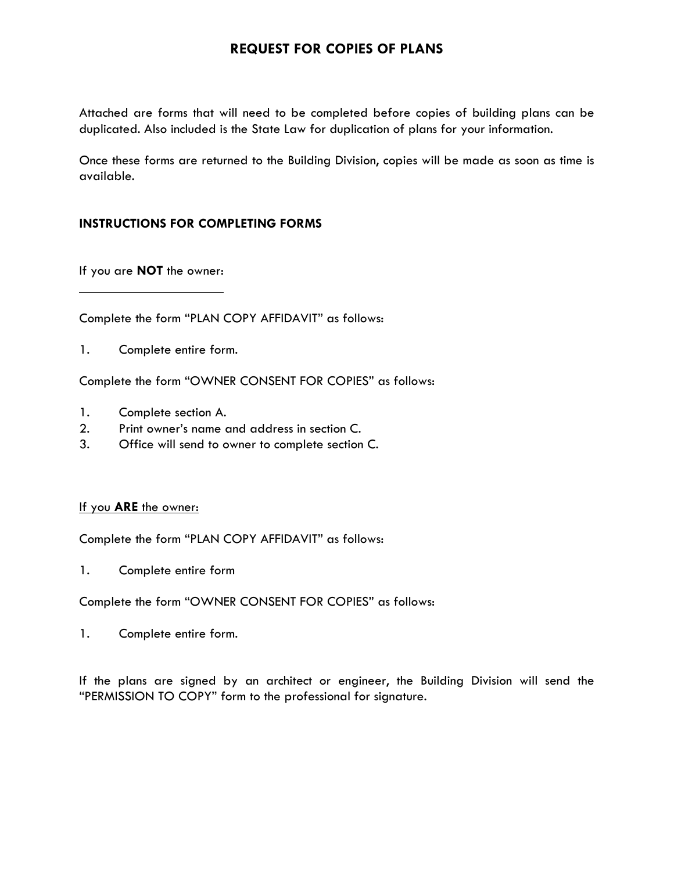## **REQUEST FOR COPIES OF PLANS**

Attached are forms that will need to be completed before copies of building plans can be duplicated. Also included is the State Law for duplication of plans for your information.

Once these forms are returned to the Building Division, copies will be made as soon as time is available.

#### **INSTRUCTIONS FOR COMPLETING FORMS**

If you are **NOT** the owner:

Complete the form "PLAN COPY AFFIDAVIT" as follows:

1. Complete entire form.

Complete the form "OWNER CONSENT FOR COPIES" as follows:

- 1. Complete section A.
- 2. Print owner's name and address in section C.
- 3. Office will send to owner to complete section C.

#### If you **ARE** the owner:

Complete the form "PLAN COPY AFFIDAVIT" as follows:

1. Complete entire form

Complete the form "OWNER CONSENT FOR COPIES" as follows:

1. Complete entire form.

If the plans are signed by an architect or engineer, the Building Division will send the "PERMISSION TO COPY" form to the professional for signature.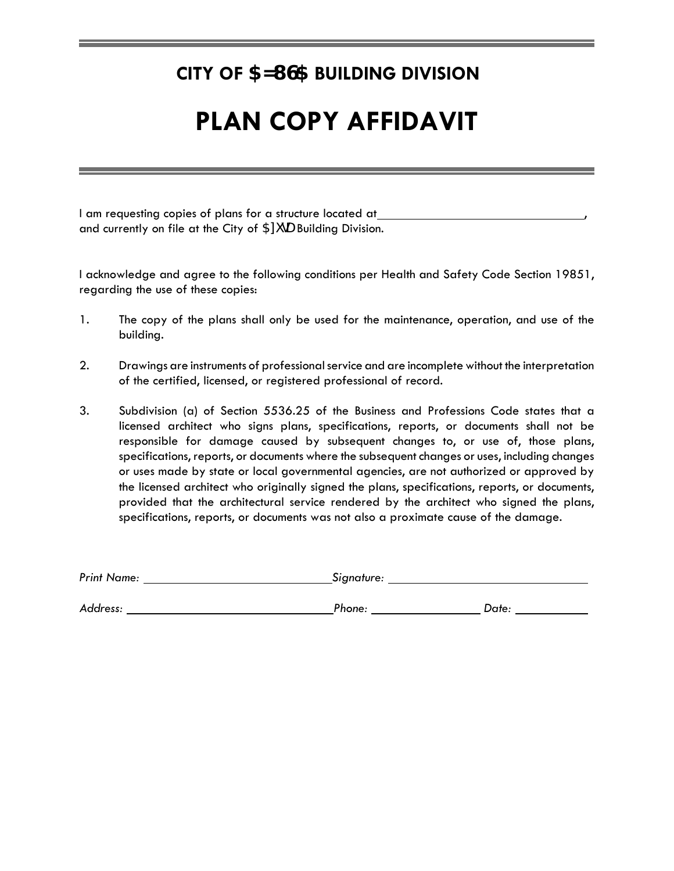# **CITY OF 5NL G5 BUILDING DIVISION**

# **PLAN COPY AFFIDAVIT**

I am requesting copies of plans for a structure located at and currently on file at the City of  $5$ ni  $\bigcup$  Building Division.

I acknowledge and agree to the following conditions per Health and Safety Code Section 19851, regarding the use of these copies:

- 1. The copy of the plans shall only be used for the maintenance, operation, and use of the building.
- 2. Drawings are instruments of professional service and are incomplete without the interpretation of the certified, licensed, or registered professional of record.
- 3. Subdivision (a) of Section 5536.25 of the Business and Professions Code states that a licensed architect who signs plans, specifications, reports, or documents shall not be responsible for damage caused by subsequent changes to, or use of, those plans, specifications, reports, or documents where the subsequent changes or uses, including changes or uses made by state or local governmental agencies, are not authorized or approved by the licensed architect who originally signed the plans, specifications, reports, or documents, provided that the architectural service rendered by the architect who signed the plans, specifications, reports, or documents was not also a proximate cause of the damage.

| <b>Print Name:</b> | Signature: |       |  |
|--------------------|------------|-------|--|
| Address:           | Phone:     | Date: |  |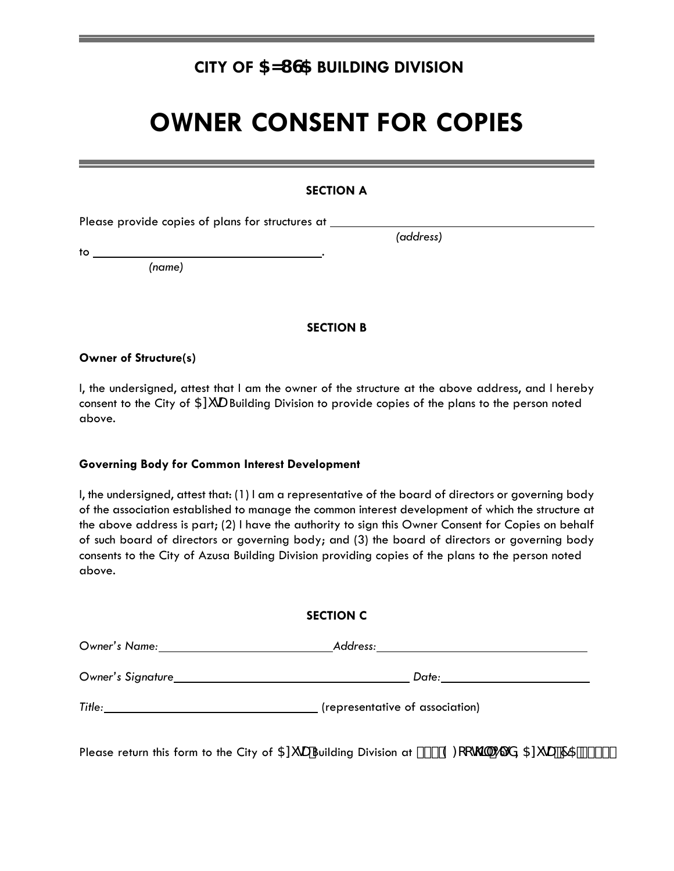## **CITY OF 5NLGS BUILDING DIVISION**

# **OWNER CONSENT FOR COPIES**

#### **SECTION A**

Please provide copies of plans for structures at

to .

 *(address)*

 *(name)*

#### **SECTION B**

**Owner of Structure(s)**

I, the undersigned, attest that I am the owner of the structure at the above address, and I hereby consent to the City of  $5N$   $QJ$  Building Division to provide copies of the plans to the person noted above.

#### **Governing Body for Common Interest Development**

I, the undersigned, attest that: (1) I am a representative of the board of directors or governing body of the association established to manage the common interest development of which the structure at the above address is part; (2) I have the authority to sign this Owner Consent for Copies on behalf of such board of directors or governing body; and (3) the board of directors or governing body consents to the City of Azusa Building Division providing copies of the plans to the person noted above.

#### **SECTION C**

| Owner's Name:     | Address:                        |  |
|-------------------|---------------------------------|--|
| Owner's Signature | Date:                           |  |
| Title:            | (representative of association) |  |

Please return this form to the City of  $5$ ni  $dJ$ Building Division at  $8\%$  9:  $CCH$ ) (6) X,  $5$ ni  $dJ\bar{z}$ 75 - %+\$&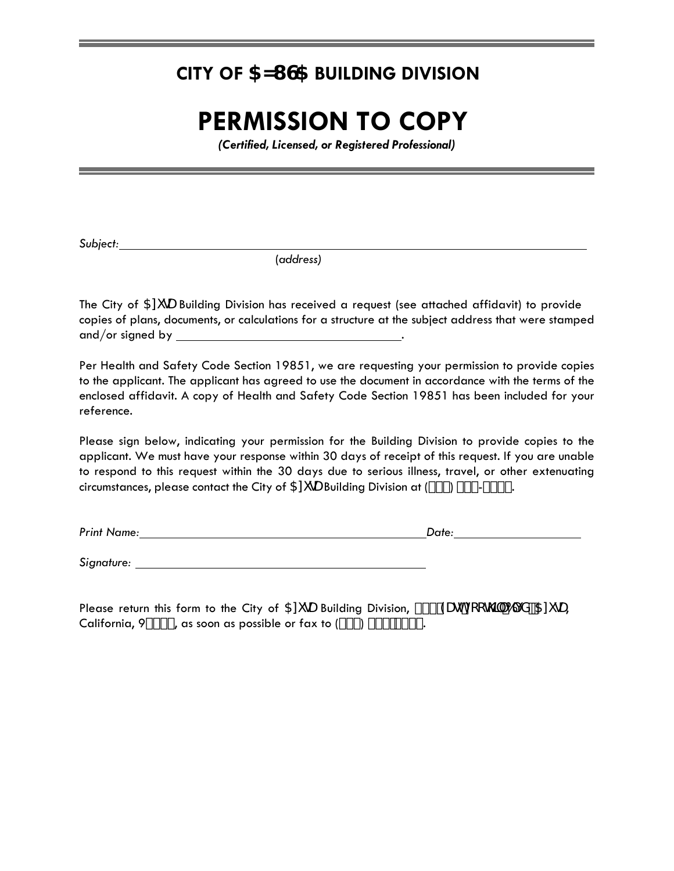## **CITY OF 5NL G5 BUILDING DIVISION**

# **PERMISSION TO COPY**

*(Certified, Licensed, or Registered Professional)*

*Subject:*

(*address)*

The City of 5n GU Building Division has received a request (see attached affidavit) to provide copies of plans, documents, or calculations for a structure at the subject address that were stamped and/or signed by .

Per Health and Safety Code Section 19851, we are requesting your permission to provide copies to the applicant. The applicant has agreed to use the document in accordance with the terms of the enclosed affidavit. A copy of Health and Safety Code Section 19851 has been included for your reference.

Please sign below, indicating your permission for the Building Division to provide copies to the applicant. We must have your response within 30 days of receipt of this request. If you are unable to respond to this request within the 30 days due to serious illness, travel, or other extenuating circumstances, please contact the City of 5ni  $dJ$  Building Division at (\*&\*), %&-) & (.

*Print Name: Date:* 

*Signature:* 

Please return this form to the City of  $5$ ni  $\mu$  Building Division,  $\&\%$  'Augh:  $\cch$ )' 6) X"  $5$ ni  $\mu$ , California,  $9\%$ \$&, as soon as possible or fax to  $({}^{\star}\&^{\star})$  ' ' (!)  $({}^{\star}($ .